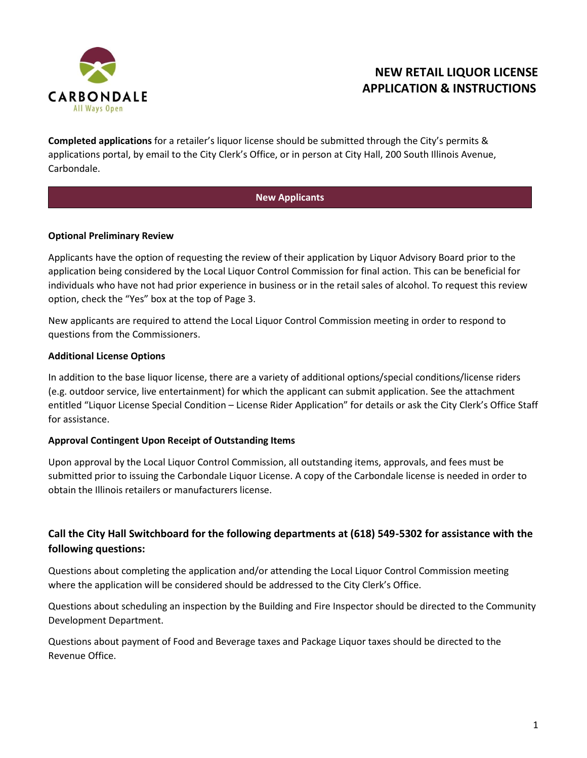

# **NEW RETAIL LIQUOR LICENSE APPLICATION & INSTRUCTIONS**

**Completed applications** for a retailer's liquor license should be submitted through the City's permits & applications portal, by email to the City Clerk's Office, or in person at City Hall, 200 South Illinois Avenue, Carbondale.

#### **New Applicants**

#### **Optional Preliminary Review**

Applicants have the option of requesting the review of their application by Liquor Advisory Board prior to the application being considered by the Local Liquor Control Commission for final action. This can be beneficial for individuals who have not had prior experience in business or in the retail sales of alcohol. To request this review option, check the "Yes" box at the top of Page 3.

New applicants are required to attend the Local Liquor Control Commission meeting in order to respond to questions from the Commissioners.

#### **Additional License Options**

In addition to the base liquor license, there are a variety of additional options/special conditions/license riders (e.g. outdoor service, live entertainment) for which the applicant can submit application. See the attachment entitled "Liquor License Special Condition – License Rider Application" for details or ask the City Clerk's Office Staff for assistance.

#### **Approval Contingent Upon Receipt of Outstanding Items**

Upon approval by the Local Liquor Control Commission, all outstanding items, approvals, and fees must be submitted prior to issuing the Carbondale Liquor License. A copy of the Carbondale license is needed in order to obtain the Illinois retailers or manufacturers license.

### **Call the City Hall Switchboard for the following departments at (618) 549-5302 for assistance with the following questions:**

Questions about completing the application and/or attending the Local Liquor Control Commission meeting where the application will be considered should be addressed to the City Clerk's Office.

Questions about scheduling an inspection by the Building and Fire Inspector should be directed to the Community Development Department.

Questions about payment of Food and Beverage taxes and Package Liquor taxes should be directed to the Revenue Office.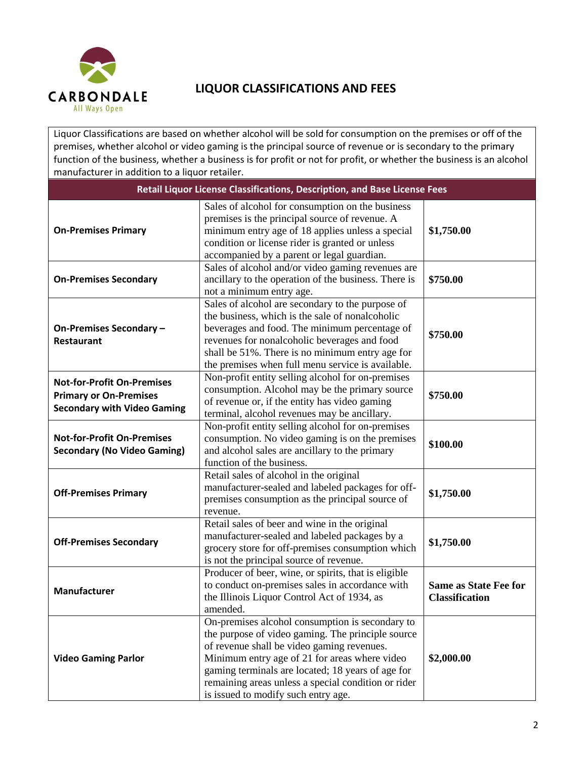

## **LIQUOR CLASSIFICATIONS AND FEES**

Liquor Classifications are based on whether alcohol will be sold for consumption on the premises or off of the premises, whether alcohol or video gaming is the principal source of revenue or is secondary to the primary function of the business, whether a business is for profit or not for profit, or whether the business is an alcohol manufacturer in addition to a liquor retailer.

| Retail Liquor License Classifications, Description, and Base License Fees                                                                                                                                                                                                                                                                                    |                                                                                                                                                                                                                                                                                                                                                        |                                                       |
|--------------------------------------------------------------------------------------------------------------------------------------------------------------------------------------------------------------------------------------------------------------------------------------------------------------------------------------------------------------|--------------------------------------------------------------------------------------------------------------------------------------------------------------------------------------------------------------------------------------------------------------------------------------------------------------------------------------------------------|-------------------------------------------------------|
| <b>On-Premises Primary</b>                                                                                                                                                                                                                                                                                                                                   | Sales of alcohol for consumption on the business<br>premises is the principal source of revenue. A<br>minimum entry age of 18 applies unless a special<br>\$1,750.00<br>condition or license rider is granted or unless<br>accompanied by a parent or legal guardian.                                                                                  |                                                       |
| <b>On-Premises Secondary</b>                                                                                                                                                                                                                                                                                                                                 | Sales of alcohol and/or video gaming revenues are<br>ancillary to the operation of the business. There is<br>not a minimum entry age.                                                                                                                                                                                                                  | \$750.00                                              |
| Sales of alcohol are secondary to the purpose of<br>the business, which is the sale of nonalcoholic<br>beverages and food. The minimum percentage of<br>On-Premises Secondary -<br>revenues for nonalcoholic beverages and food<br><b>Restaurant</b><br>shall be 51%. There is no minimum entry age for<br>the premises when full menu service is available. |                                                                                                                                                                                                                                                                                                                                                        | \$750.00                                              |
| <b>Not-for-Profit On-Premises</b><br><b>Primary or On-Premises</b><br><b>Secondary with Video Gaming</b>                                                                                                                                                                                                                                                     | Non-profit entity selling alcohol for on-premises<br>consumption. Alcohol may be the primary source<br>\$750.00<br>of revenue or, if the entity has video gaming<br>terminal, alcohol revenues may be ancillary.                                                                                                                                       |                                                       |
| <b>Not-for-Profit On-Premises</b><br><b>Secondary (No Video Gaming)</b>                                                                                                                                                                                                                                                                                      | Non-profit entity selling alcohol for on-premises<br>consumption. No video gaming is on the premises<br>and alcohol sales are ancillary to the primary<br>function of the business.                                                                                                                                                                    | \$100.00                                              |
| <b>Off-Premises Primary</b>                                                                                                                                                                                                                                                                                                                                  | Retail sales of alcohol in the original<br>manufacturer-sealed and labeled packages for off-<br>premises consumption as the principal source of<br>revenue.                                                                                                                                                                                            | \$1,750.00                                            |
| Retail sales of beer and wine in the original<br>manufacturer-sealed and labeled packages by a<br><b>Off-Premises Secondary</b><br>grocery store for off-premises consumption which<br>is not the principal source of revenue.                                                                                                                               |                                                                                                                                                                                                                                                                                                                                                        | \$1,750.00                                            |
| <b>Manufacturer</b>                                                                                                                                                                                                                                                                                                                                          | Producer of beer, wine, or spirits, that is eligible<br>to conduct on-premises sales in accordance with<br>the Illinois Liquor Control Act of 1934, as<br>amended.                                                                                                                                                                                     | <b>Same as State Fee for</b><br><b>Classification</b> |
| <b>Video Gaming Parlor</b>                                                                                                                                                                                                                                                                                                                                   | On-premises alcohol consumption is secondary to<br>the purpose of video gaming. The principle source<br>of revenue shall be video gaming revenues.<br>Minimum entry age of 21 for areas where video<br>gaming terminals are located; 18 years of age for<br>remaining areas unless a special condition or rider<br>is issued to modify such entry age. | \$2,000.00                                            |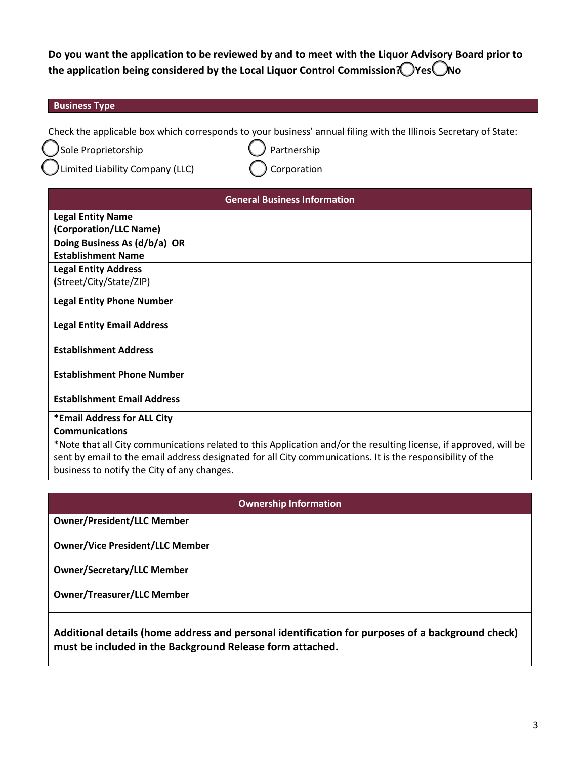**Do you want the application to be reviewed by and to meet with the Liquor Advisory Board prior to the application being considered by the Local Liquor Control Commission?**  $\bigcirc$  **Yes**  $\bigcirc$  **No** 

#### **Business Type**

Check the applicable box which corresponds to your business' annual filing with the Illinois Secretary of State:

Sole Proprietorship **Contains Containers** Sole Proprietorship

Limited Liability Company (LLC)  $\bigcap$  Corporation

| <b>General Business Information</b> |                                                                                                                     |  |
|-------------------------------------|---------------------------------------------------------------------------------------------------------------------|--|
| <b>Legal Entity Name</b>            |                                                                                                                     |  |
| (Corporation/LLC Name)              |                                                                                                                     |  |
| Doing Business As (d/b/a) OR        |                                                                                                                     |  |
| <b>Establishment Name</b>           |                                                                                                                     |  |
| <b>Legal Entity Address</b>         |                                                                                                                     |  |
| (Street/City/State/ZIP)             |                                                                                                                     |  |
| <b>Legal Entity Phone Number</b>    |                                                                                                                     |  |
| <b>Legal Entity Email Address</b>   |                                                                                                                     |  |
| <b>Establishment Address</b>        |                                                                                                                     |  |
| <b>Establishment Phone Number</b>   |                                                                                                                     |  |
| <b>Establishment Email Address</b>  |                                                                                                                     |  |
| *Email Address for ALL City         |                                                                                                                     |  |
| <b>Communications</b>               |                                                                                                                     |  |
|                                     | $*$ Note that all City communications related to this Application and/or the resulting license, if approved will be |  |

Note that all City communications related to this Application and/or the resulting license, if approved, will be sent by email to the email address designated for all City communications. It is the responsibility of the business to notify the City of any changes.

| <b>Ownership Information</b>           |  |  |
|----------------------------------------|--|--|
| <b>Owner/President/LLC Member</b>      |  |  |
| <b>Owner/Vice President/LLC Member</b> |  |  |
| <b>Owner/Secretary/LLC Member</b>      |  |  |
| <b>Owner/Treasurer/LLC Member</b>      |  |  |

**Additional details (home address and personal identification for purposes of a background check) must be included in the Background Release form attached.**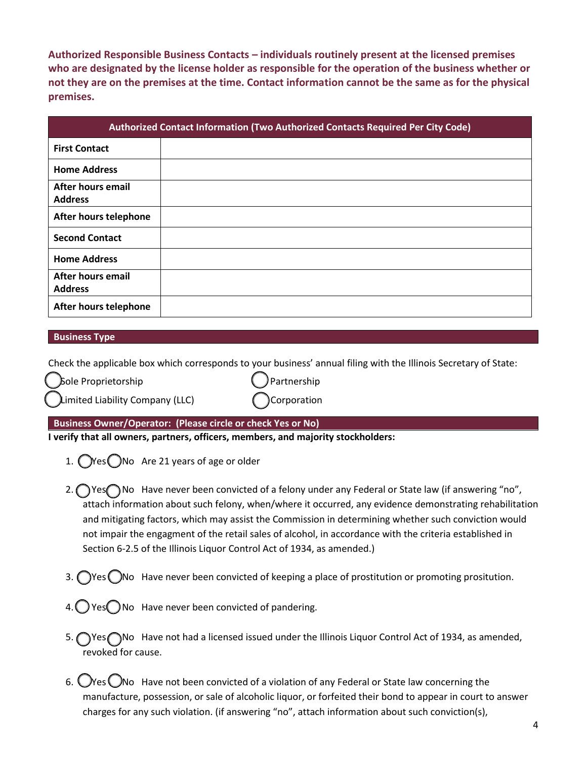**Authorized Responsible Business Contacts – individuals routinely present at the licensed premises who are designated by the license holder as responsible for the operation of the business whether or not they are on the premises at the time. Contact information cannot be the same as for the physical premises.** 

| Authorized Contact Information (Two Authorized Contacts Required Per City Code) |  |  |
|---------------------------------------------------------------------------------|--|--|
| <b>First Contact</b>                                                            |  |  |
| <b>Home Address</b>                                                             |  |  |
| After hours email<br><b>Address</b>                                             |  |  |
| After hours telephone                                                           |  |  |
| <b>Second Contact</b>                                                           |  |  |
| <b>Home Address</b>                                                             |  |  |
| After hours email<br><b>Address</b>                                             |  |  |
| After hours telephone                                                           |  |  |

#### **Business Type**

Check the applicable box which corresponds to your business' annual filing with the Illinois Secretary of State:

Sole Proprietorship College and College and College and College and College and College and College and College and College and College and College and College and College and College and College and College and College an

| Limited Liability Company (LLC) | Corporation |
|---------------------------------|-------------|
|---------------------------------|-------------|

**Business Owner/Operator: (Please circle or check Yes or No)**

**I verify that all owners, partners, officers, members, and majority stockholders:**

- 1.  $\bigcirc$ Yes $\bigcirc$ No Are 21 years of age or older
- 2. Yes **No** Have never been convicted of a felony under any Federal or State law (if answering "no", attach information about such felony, when/where it occurred, any evidence demonstrating rehabilitation and mitigating factors, which may assist the Commission in determining whether such conviction would not impair the engagment of the retail sales of alcohol, in accordance with the criteria established in Section 6-2.5 of the Illinois Liquor Control Act of 1934, as amended.)
- 3.  $\bigcap$ Yes  $\bigcap$ No Have never been convicted of keeping a place of prostitution or promoting prositution.
- $4.$  Yes  $\bigcirc$  No Have never been convicted of pandering.
- 5. Yes No Have not had a licensed issued under the Illinois Liquor Control Act of 1934, as amended, revoked for cause.
- 6.  $\bigcirc$ Yes  $\bigcirc$ No Have not been convicted of a violation of any Federal or State law concerning the manufacture, possession, or sale of alcoholic liquor, or forfeited their bond to appear in court to answer charges for any such violation. (if answering "no", attach information about such conviction(s),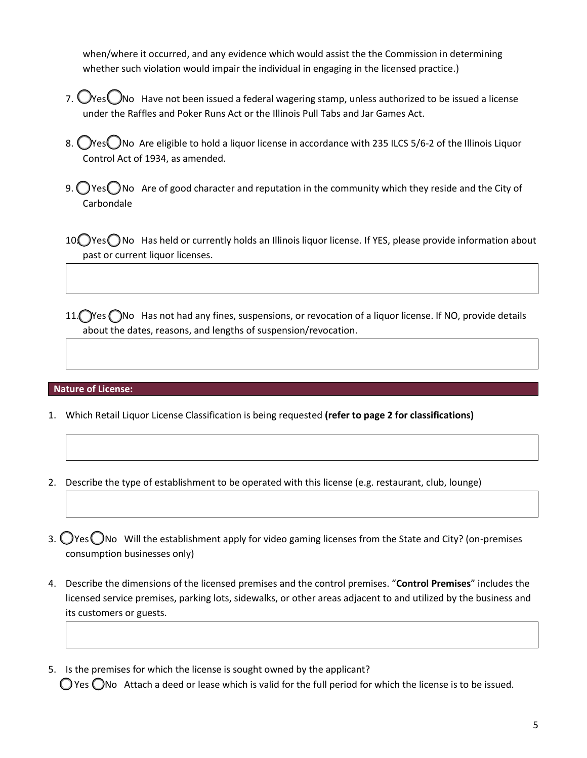when/where it occurred, and any evidence which would assist the the Commission in determining whether such violation would impair the individual in engaging in the licensed practice.)

- 7.  $O$ Yes $O$ No Have not been issued a federal wagering stamp, unless authorized to be issued a license under the Raffles and Poker Runs Act or the Illinois Pull Tabs and Jar Games Act.
- 8. Oves No Are eligible to hold a liquor license in accordance with 235 ILCS 5/6-2 of the Illinois Liquor Control Act of 1934, as amended.
- 9.  $\bigcirc$  Yes  $\bigcirc$  No Are of good character and reputation in the community which they reside and the City of Carbondale
- 10. Yes No Has held or currently holds an Illinois liquor license. If YES, please provide information about past or current liquor licenses.
- 11. Yes ONo Has not had any fines, suspensions, or revocation of a liquor license. If NO, provide details about the dates, reasons, and lengths of suspension/revocation.

#### **Nature of License:**

- 1. Which Retail Liquor License Classification is being requested **(refer to page 2 for classifications)**
- 2. Describe the type of establishment to be operated with this license (e.g. restaurant, club, lounge)
- 3.  $\bigcirc$ Yes  $\bigcirc$ No Will the establishment apply for video gaming licenses from the State and City? (on-premises consumption businesses only)
- 4. Describe the dimensions of the licensed premises and the control premises. "**Control Premises**" includes the licensed service premises, parking lots, sidewalks, or other areas adjacent to and utilized by the business and its customers or guests.
- 5. Is the premises for which the license is sought owned by the applicant?  $\bigcirc$  Yes  $\bigcirc$  No Attach a deed or lease which is valid for the full period for which the license is to be issued.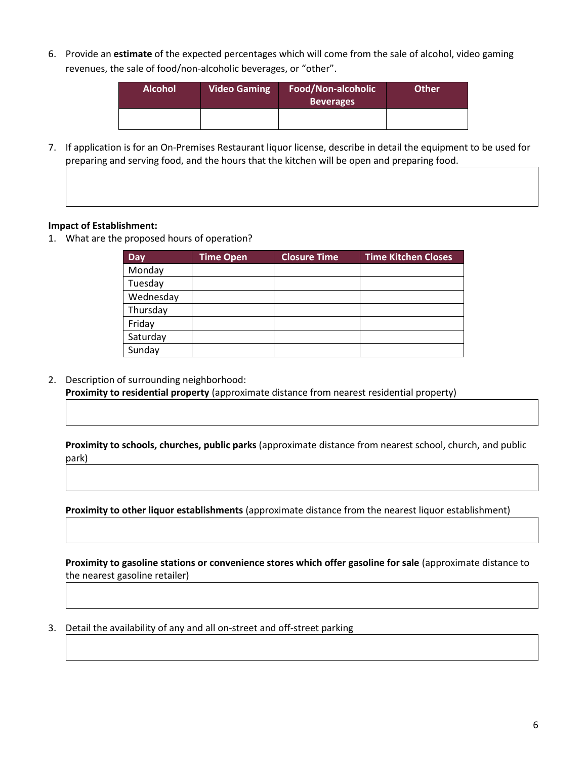6. Provide an **estimate** of the expected percentages which will come from the sale of alcohol, video gaming revenues, the sale of food/non-alcoholic beverages, or "other".

| <b>Alcohol</b> | <b>Video Gaming</b> | Food/Non-alcoholic<br><b>Beverages</b> | <b>Other</b> |
|----------------|---------------------|----------------------------------------|--------------|
|                |                     |                                        |              |

7. If application is for an On-Premises Restaurant liquor license, describe in detail the equipment to be used for preparing and serving food, and the hours that the kitchen will be open and preparing food.

#### **Impact of Establishment:**

1. What are the proposed hours of operation?

| Day       | Time Open | <b>Closure Time</b> | <b>Time Kitchen Closes</b> |
|-----------|-----------|---------------------|----------------------------|
| Monday    |           |                     |                            |
| Tuesday   |           |                     |                            |
| Wednesday |           |                     |                            |
| Thursday  |           |                     |                            |
| Friday    |           |                     |                            |
| Saturday  |           |                     |                            |
| Sunday    |           |                     |                            |

2. Description of surrounding neighborhood:

**Proximity to residential property** (approximate distance from nearest residential property)

**Proximity to schools, churches, public parks** (approximate distance from nearest school, church, and public park)

**Proximity to other liquor establishments** (approximate distance from the nearest liquor establishment)

**Proximity to gasoline stations or convenience stores which offer gasoline for sale** (approximate distance to the nearest gasoline retailer)

3. Detail the availability of any and all on-street and off-street parking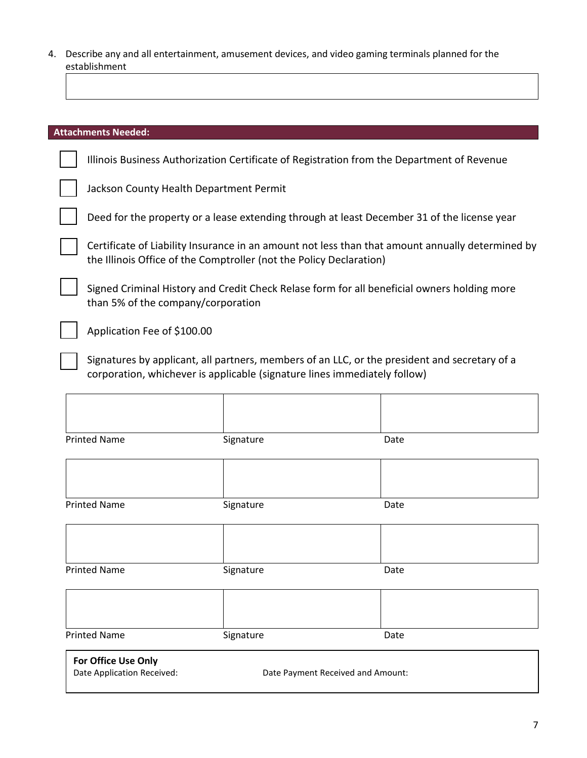4. Describe any and all entertainment, amusement devices, and video gaming terminals planned for the establishment

| <b>Attachments Needed:</b>                                                                                                                                                 |
|----------------------------------------------------------------------------------------------------------------------------------------------------------------------------|
| Illinois Business Authorization Certificate of Registration from the Department of Revenue                                                                                 |
| Jackson County Health Department Permit                                                                                                                                    |
| Deed for the property or a lease extending through at least December 31 of the license year                                                                                |
| Certificate of Liability Insurance in an amount not less than that amount annually determined by<br>the Illinois Office of the Comptroller (not the Policy Declaration)    |
| Signed Criminal History and Credit Check Relase form for all beneficial owners holding more<br>than 5% of the company/corporation                                          |
| Application Fee of \$100.00                                                                                                                                                |
| Signatures by applicant, all partners, members of an LLC, or the president and secretary of a<br>corporation, whichever is applicable (signature lines immediately follow) |
|                                                                                                                                                                            |

| <b>Printed Name</b>                               | Signature | Date                              |  |
|---------------------------------------------------|-----------|-----------------------------------|--|
|                                                   |           |                                   |  |
| <b>Printed Name</b>                               | Signature | Date                              |  |
|                                                   |           |                                   |  |
| <b>Printed Name</b>                               | Signature | Date                              |  |
|                                                   |           |                                   |  |
| <b>Printed Name</b>                               | Signature | Date                              |  |
| For Office Use Only<br>Date Application Received: |           | Date Payment Received and Amount: |  |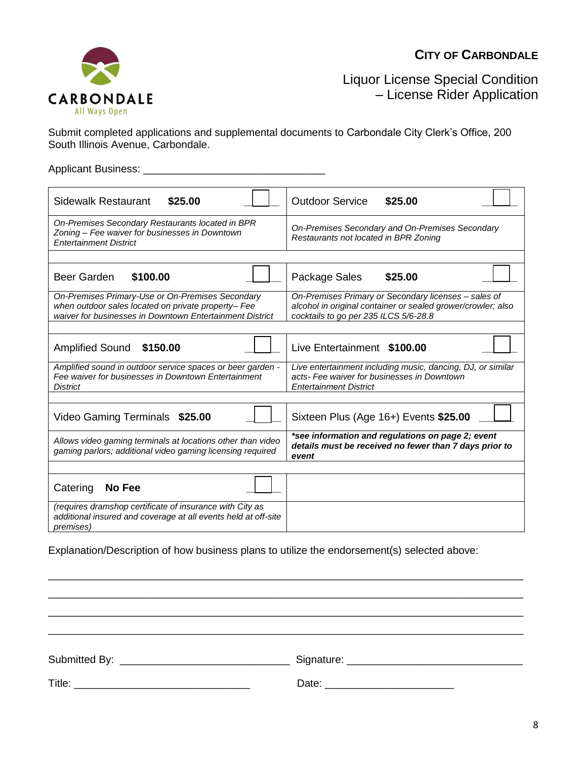### **CITY OF CARBONDALE**



Liquor License Special Condition – License Rider Application

Submit completed applications and supplemental documents to Carbondale City Clerk's Office, 200 South Illinois Avenue, Carbondale.

Applicant Business: \_\_\_\_\_\_\_\_\_\_\_\_\_\_\_\_\_\_\_\_\_\_\_\_\_\_\_\_\_\_\_

| \$25.00<br><b>Sidewalk Restaurant</b>                                                                                                                               | <b>Outdoor Service</b><br>\$25.00                                                                                                                             |
|---------------------------------------------------------------------------------------------------------------------------------------------------------------------|---------------------------------------------------------------------------------------------------------------------------------------------------------------|
| On-Premises Secondary Restaurants located in BPR<br>Zoning - Fee waiver for businesses in Downtown<br><b>Entertainment District</b>                                 | On-Premises Secondary and On-Premises Secondary<br>Restaurants not located in BPR Zoning                                                                      |
|                                                                                                                                                                     |                                                                                                                                                               |
| Beer Garden<br>\$100.00                                                                                                                                             | Package Sales<br>\$25.00                                                                                                                                      |
| On-Premises Primary-Use or On-Premises Secondary<br>when outdoor sales located on private property- Fee<br>waiver for businesses in Downtown Entertainment District | On-Premises Primary or Secondary licenses - sales of<br>alcohol in original container or sealed grower/crowler; also<br>cocktails to go per 235 ILCS 5/6-28.8 |
|                                                                                                                                                                     |                                                                                                                                                               |
| <b>Amplified Sound</b><br>\$150.00                                                                                                                                  | Live Entertainment \$100.00                                                                                                                                   |
| Amplified sound in outdoor service spaces or beer garden -<br>Fee waiver for businesses in Downtown Entertainment<br><b>District</b>                                | Live entertainment including music, dancing, DJ, or similar<br>acts- Fee waiver for businesses in Downtown<br><b>Entertainment District</b>                   |
|                                                                                                                                                                     |                                                                                                                                                               |
| <b>Video Gaming Terminals</b><br>\$25.00                                                                                                                            | Sixteen Plus (Age 16+) Events \$25.00                                                                                                                         |
| Allows video gaming terminals at locations other than video<br>gaming parlors; additional video gaming licensing required                                           | *see information and regulations on page 2; event<br>details must be received no fewer than 7 days prior to<br>event                                          |
|                                                                                                                                                                     |                                                                                                                                                               |
| Catering<br>No Fee                                                                                                                                                  |                                                                                                                                                               |
| (requires dramshop certificate of insurance with City as<br>additional insured and coverage at all events held at off-site<br><i>premises</i> )                     |                                                                                                                                                               |

Explanation/Description of how business plans to utilize the endorsement(s) selected above:

| Submitted By: | Signature: |
|---------------|------------|
| Title:        | Date:      |

\_\_\_\_\_\_\_\_\_\_\_\_\_\_\_\_\_\_\_\_\_\_\_\_\_\_\_\_\_\_\_\_\_\_\_\_\_\_\_\_\_\_\_\_\_\_\_\_\_\_\_\_\_\_\_\_\_\_\_\_\_\_\_\_\_\_\_\_\_\_\_\_\_\_\_\_\_\_\_\_\_ \_\_\_\_\_\_\_\_\_\_\_\_\_\_\_\_\_\_\_\_\_\_\_\_\_\_\_\_\_\_\_\_\_\_\_\_\_\_\_\_\_\_\_\_\_\_\_\_\_\_\_\_\_\_\_\_\_\_\_\_\_\_\_\_\_\_\_\_\_\_\_\_\_\_\_\_\_\_\_\_\_ \_\_\_\_\_\_\_\_\_\_\_\_\_\_\_\_\_\_\_\_\_\_\_\_\_\_\_\_\_\_\_\_\_\_\_\_\_\_\_\_\_\_\_\_\_\_\_\_\_\_\_\_\_\_\_\_\_\_\_\_\_\_\_\_\_\_\_\_\_\_\_\_\_\_\_\_\_\_\_\_\_ \_\_\_\_\_\_\_\_\_\_\_\_\_\_\_\_\_\_\_\_\_\_\_\_\_\_\_\_\_\_\_\_\_\_\_\_\_\_\_\_\_\_\_\_\_\_\_\_\_\_\_\_\_\_\_\_\_\_\_\_\_\_\_\_\_\_\_\_\_\_\_\_\_\_\_\_\_\_\_\_\_